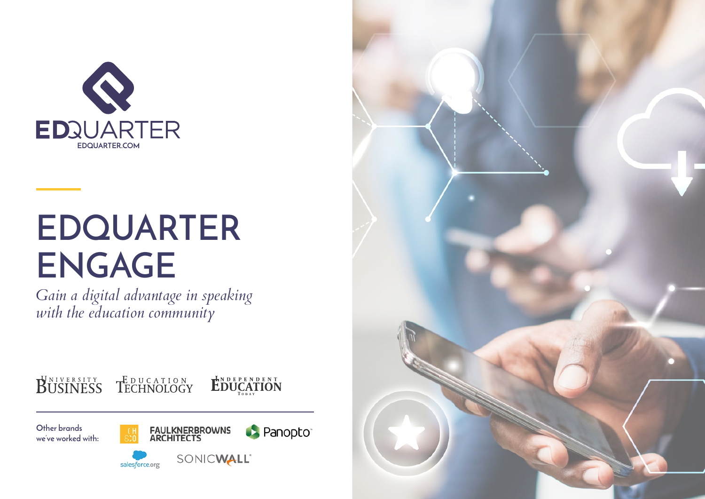

# **EDQUARTER ENGAGE**

*Gain a digital advantage in speaking with the education community*

BUSINESS TECHNOLOGY



**Other brands we've worked with:**





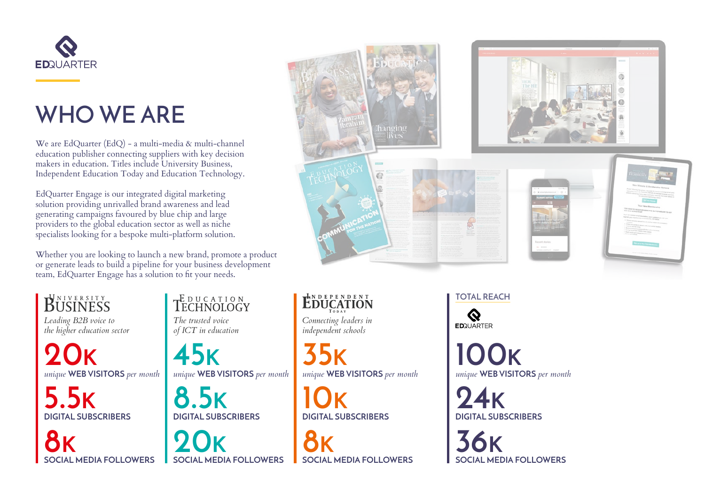

## **WHO WE ARE**

We are EdQuarter (EdQ) - a multi-media & multi-channel education publisher connecting suppliers with key decision makers in education. Titles include University Business, Independent Education Today and Education Technology.

EdQuarter Engage is our integrated digital marketing solution providing unrivalled brand awareness and lead generating campaigns favoured by blue chip and large providers to the global education sector as well as niche specialists looking for a bespoke multi-platform solution.

Whether you are looking to launch a new brand, promote a product or generate leads to build a pipeline for your business development team, EdQuarter Engage has a solution to fit your needs.

## BUSINESS

*Leading B2B voice to the higher education sector* 

*unique* **WEB VISITORS** *per month unique* **WEB VISITORS** *per month unique* **WEB VISITORS** *per month unique* **WEB VISITORS** *per month* **20K 45K 35K 100K**

#### TECHNOLOGY *The trusted voice*

*of ICT in education*

8K 36K 36K



EDUCATION

*Connecting leaders in independent schools* 

**DIGITAL SUBSCRIBERS DIGITAL SUBSCRIBERS DIGITAL SUBSCRIBERS DIGITAL SUBSCRIBERS 5.5K 8.5K 10K 24K**

**TOTAL REACH**



**SOCIAL MEDIA FOLLOWERS SOCIAL MEDIA FOLLOWERS SOCIAL MEDIA FOLLOWERS SOCIAL MEDIA FOLLOWERS**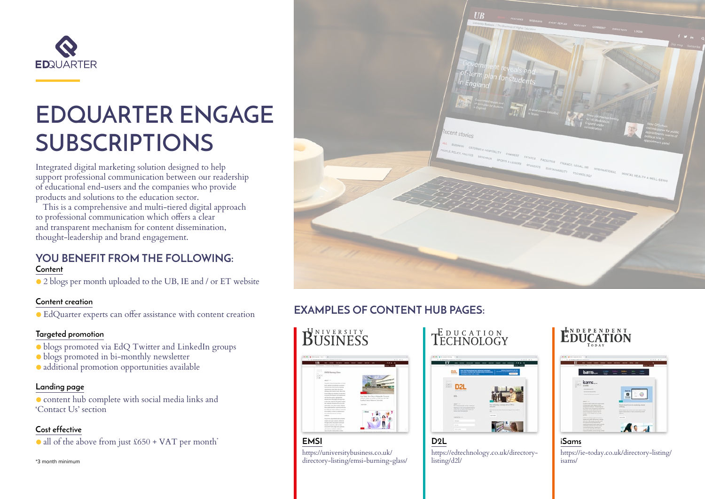

## **EDQUARTER ENGAGE SUBSCRIPTIONS**

Integrated digital marketing solution designed to help support professional communication between our readership of educational end-users and the companies who provide products and solutions to the education sector.

This is a comprehensive and multi-tiered digital approach to professional communication which offers a clear and transparent mechanism for content dissemination, thought-leadership and brand engagement.

#### **YOU BENEFIT FROM THE FOLLOWING: Content**

● 2 blogs per month uploaded to the UB, IE and / or ET website

#### **Content creation**

● EdQuarter experts can offer assistance with content creation

#### **Targeted promotion**

- blogs promoted via EdQ Twitter and LinkedIn groups
- blogs promoted in bi-monthly newsletter
- additional promotion opportunities available

#### **Landing page**

● content hub complete with social media links and 'Contact Us' section

#### **Cost effective**

 $\bullet$  all of the above from just £650 + VAT per month\*

\*3 month minimum



#### **EXAMPLES OF CONTENT HUB PAGES:**



**EMSI** https://universitybusiness.co.uk/ directory-listing/emsi-burning-glass/

### **TECHNOLOGY**



**D2L** https://edtechnology.co.uk/directorylisting/d2l/

### EDUCATION



**iSams** https://ie-today.co.uk/directory-listing/ isams/